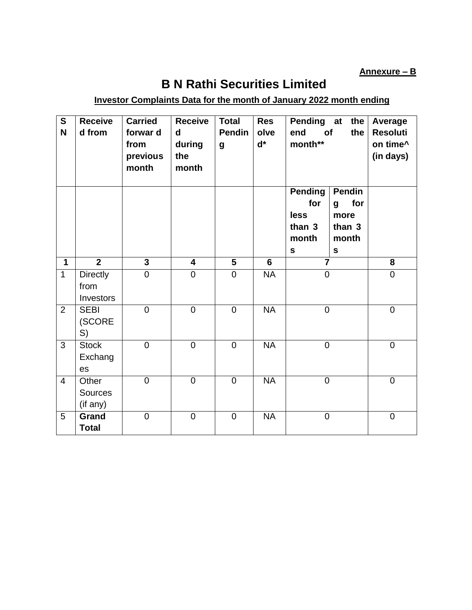**Annexure – B**

## **B N Rathi Securities Limited**

## **Investor Complaints Data for the month of January 2022 month ending**

| S<br>N         | <b>Receive</b><br>d from             | <b>Carried</b><br>forwar d<br>from<br>previous<br>month | <b>Receive</b><br>$\mathbf d$<br>during<br>the<br>month | <b>Total</b><br><b>Pendin</b><br>$\boldsymbol{g}$ | <b>Res</b><br>olve<br>$\mathbf{d}^*$ | Pending at<br>end<br>of<br>month**                            | the<br>the                                                   | Average<br><b>Resoluti</b><br>on time^<br>(in days) |
|----------------|--------------------------------------|---------------------------------------------------------|---------------------------------------------------------|---------------------------------------------------|--------------------------------------|---------------------------------------------------------------|--------------------------------------------------------------|-----------------------------------------------------|
|                |                                      |                                                         |                                                         |                                                   |                                      | <b>Pending</b><br>for<br>less<br>than 3<br>month<br>${\sf s}$ | Pendin<br>for<br>g<br>more<br>than 3<br>month<br>$\mathbf s$ |                                                     |
| $\mathbf{1}$   | $\overline{2}$                       | $\overline{\mathbf{3}}$                                 | $\overline{\mathbf{4}}$                                 | 5                                                 | 6                                    | $\overline{7}$                                                |                                                              | 8                                                   |
| $\mathbf{1}$   | <b>Directly</b><br>from<br>Investors | $\mathbf 0$                                             | $\mathbf 0$                                             | $\overline{0}$                                    | <b>NA</b>                            | $\boldsymbol{0}$                                              |                                                              | $\mathbf 0$                                         |
| 2              | <b>SEBI</b><br>(SCORE<br>S)          | $\mathbf 0$                                             | $\mathbf 0$                                             | $\mathbf 0$                                       | <b>NA</b>                            | $\overline{0}$                                                |                                                              | $\mathbf 0$                                         |
| 3              | <b>Stock</b><br>Exchang<br>es        | $\overline{0}$                                          | $\overline{0}$                                          | $\mathbf 0$                                       | $\overline{\mathsf{NA}}$             | $\overline{0}$                                                |                                                              | $\overline{0}$                                      |
| $\overline{4}$ | Other<br>Sources<br>(if any)         | $\overline{0}$                                          | $\overline{0}$                                          | $\overline{0}$                                    | <b>NA</b>                            | $\overline{0}$                                                |                                                              | $\overline{0}$                                      |
| 5              | Grand<br><b>Total</b>                | $\mathbf 0$                                             | $\mathbf 0$                                             | $\overline{0}$                                    | <b>NA</b>                            | $\mathbf 0$                                                   |                                                              | $\mathbf 0$                                         |